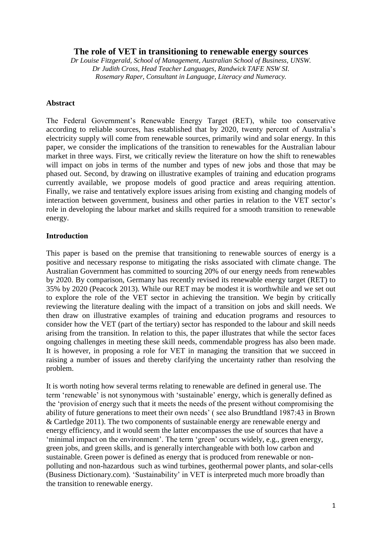## **The role of VET in transitioning to renewable energy sources**

*Dr Louise Fitzgerald, School of Management, Australian School of Business, UNSW. Dr Judith Cross, Head Teacher Languages, Randwick TAFE NSW SI. Rosemary Raper, Consultant in Language, Literacy and Numeracy.*

#### **Abstract**

The Federal Government's Renewable Energy Target (RET), while too conservative according to reliable sources, has established that by 2020, twenty percent of Australia's electricity supply will come from renewable sources, primarily wind and solar energy. In this paper, we consider the implications of the transition to renewables for the Australian labour market in three ways. First, we critically review the literature on how the shift to renewables will impact on jobs in terms of the number and types of new jobs and those that may be phased out. Second, by drawing on illustrative examples of training and education programs currently available, we propose models of good practice and areas requiring attention. Finally, we raise and tentatively explore issues arising from existing and changing models of interaction between government, business and other parties in relation to the VET sector's role in developing the labour market and skills required for a smooth transition to renewable energy.

#### **Introduction**

This paper is based on the premise that transitioning to renewable sources of energy is a positive and necessary response to mitigating the risks associated with climate change. The Australian Government has committed to sourcing 20% of our energy needs from renewables by 2020. By comparison, Germany has recently revised its renewable energy target (RET) to 35% by 2020 (Peacock 2013). While our RET may be modest it is worthwhile and we set out to explore the role of the VET sector in achieving the transition. We begin by critically reviewing the literature dealing with the impact of a transition on jobs and skill needs. We then draw on illustrative examples of training and education programs and resources to consider how the VET (part of the tertiary) sector has responded to the labour and skill needs arising from the transition. In relation to this, the paper illustrates that while the sector faces ongoing challenges in meeting these skill needs, commendable progress has also been made. It is however, in proposing a role for VET in managing the transition that we succeed in raising a number of issues and thereby clarifying the uncertainty rather than resolving the problem.

It is worth noting how several terms relating to renewable are defined in general use. The term 'renewable' is not synonymous with 'sustainable' energy, which is generally defined as the 'provision of energy such that it meets the needs of the present without compromising the ability of future generations to meet their own needs' ( see also Brundtland 1987:43 in Brown & Cartledge 2011). The two components of sustainable energy are renewable energy and energy efficiency, and it would seem the latter encompasses the use of sources that have a 'minimal impact on the environment'. The term 'green' occurs widely, e.g., green energy, green jobs, and green skills, and is generally interchangeable with both low carbon and sustainable. Green power is defined as energy that is produced from renewable or nonpolluting and non-hazardous such as wind turbines, geothermal [power plants,](http://www.businessdictionary.com/definition/power-plant.html) and [solar-cells](http://www.businessdictionary.com/definition/solar-cell.html) (Business Dictionary.com). 'Sustainability' in VET is interpreted much more broadly than the transition to renewable energy.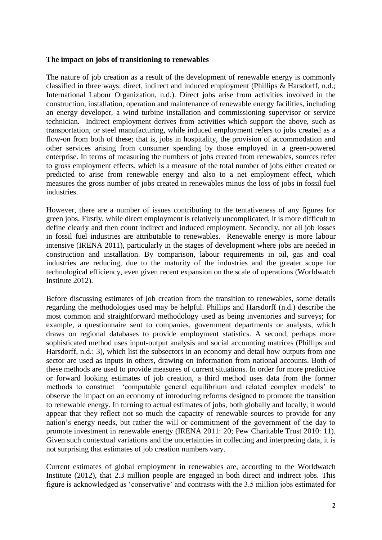#### **The impact on jobs of transitioning to renewables**

The nature of job creation as a result of the development of renewable energy is commonly classified in three ways: direct, indirect and induced employment (Phillips & Harsdorff, n.d.; International Labour Organization, n.d.). Direct jobs arise from activities involved in the construction, installation, operation and maintenance of renewable energy facilities, including an energy developer, a wind turbine installation and commissioning supervisor or service technician. Indirect employment derives from activities which support the above, such as transportation, or steel manufacturing, while induced employment refers to jobs created as a flow-on from both of these; that is, jobs in hospitality, the provision of accommodation and other services arising from consumer spending by those employed in a green-powered enterprise. In terms of measuring the numbers of jobs created from renewables, sources refer to gross employment effects, which is a measure of the total number of jobs either created or predicted to arise from renewable energy and also to a net employment effect, which measures the gross number of jobs created in renewables minus the loss of jobs in fossil fuel industries.

However, there are a number of issues contributing to the tentativeness of any figures for green jobs. Firstly, while direct employment is relatively uncomplicated, it is more difficult to define clearly and then count indirect and induced employment. Secondly, not all job losses in fossil fuel industries are attributable to renewables. Renewable energy is more labour intensive (IRENA 2011), particularly in the stages of development where jobs are needed in construction and installation. By comparison, labour requirements in oil, gas and coal industries are reducing, due to the maturity of the industries and the greater scope for technological efficiency, even given recent expansion on the scale of operations (Worldwatch Institute 2012).

Before discussing estimates of job creation from the transition to renewables, some details regarding the methodologies used may be helpful. Phillips and Harsdorff (n.d.) describe the most common and straightforward methodology used as being inventories and surveys; for example, a questionnaire sent to companies, government departments or analysts, which draws on regional databases to provide employment statistics. A second, perhaps more sophisticated method uses input-output analysis and social accounting matrices (Phillips and Harsdorff, n.d.: 3), which list the subsectors in an economy and detail how outputs from one sector are used as inputs in others, drawing on information from national accounts. Both of these methods are used to provide measures of current situations. In order for more predictive or forward looking estimates of job creation, a third method uses data from the former methods to construct 'computable general equilibrium and related complex models' to observe the impact on an economy of introducing reforms designed to promote the transition to renewable energy. In turning to actual estimates of jobs, both globally and locally, it would appear that they reflect not so much the capacity of renewable sources to provide for any nation's energy needs, but rather the will or commitment of the government of the day to promote investment in renewable energy (IRENA 2011: 20; Pew Charitable Trust 2010: 11). Given such contextual variations and the uncertainties in collecting and interpreting data, it is not surprising that estimates of job creation numbers vary.

Current estimates of global employment in renewables are, according to the Worldwatch Institute (2012), that 2.3 million people are engaged in both direct and indirect jobs. This figure is acknowledged as 'conservative' and contrasts with the 3.5 million jobs estimated for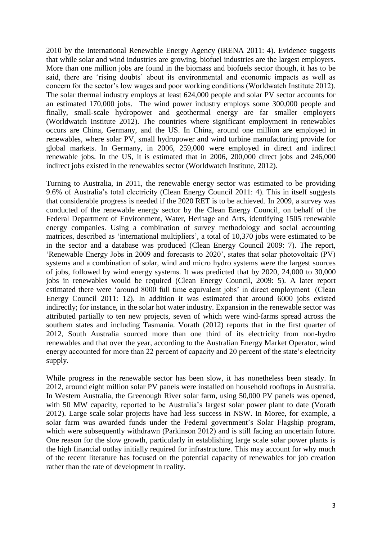2010 by the International Renewable Energy Agency (IRENA 2011: 4). Evidence suggests that while solar and wind industries are growing, biofuel industries are the largest employers. More than one million jobs are found in the biomass and biofuels sector though, it has to be said, there are 'rising doubts' about its environmental and economic impacts as well as concern for the sector's low wages and poor working conditions (Worldwatch Institute 2012). The solar thermal industry employs at least 624,000 people and solar PV sector accounts for an estimated 170,000 jobs. The wind power industry employs some 300,000 people and finally, small-scale hydropower and geothermal energy are far smaller employers (Worldwatch Institute 2012). The countries where significant employment in renewables occurs are China, Germany, and the US. In China, around one million are employed in renewables, where solar PV, small hydropower and wind turbine manufacturing provide for global markets. In Germany, in 2006, 259,000 were employed in direct and indirect renewable jobs. In the US, it is estimated that in 2006, 200,000 direct jobs and 246,000 indirect jobs existed in the renewables sector (Worldwatch Institute, 2012).

Turning to Australia, in 2011, the renewable energy sector was estimated to be providing 9.6% of Australia's total electricity (Clean Energy Council 2011: 4). This in itself suggests that considerable progress is needed if the 2020 RET is to be achieved. In 2009, a survey was conducted of the renewable energy sector by the Clean Energy Council, on behalf of the Federal Department of Environment, Water, Heritage and Arts, identifying 1505 renewable energy companies. Using a combination of survey methodology and social accounting matrices, described as 'international multipliers', a total of 10,370 jobs were estimated to be in the sector and a database was produced (Clean Energy Council 2009: 7). The report, 'Renewable Energy Jobs in 2009 and forecasts to 2020', states that solar photovoltaic (PV) systems and a combination of solar, wind and micro hydro systems were the largest sources of jobs, followed by wind energy systems. It was predicted that by 2020, 24,000 to 30,000 jobs in renewables would be required (Clean Energy Council, 2009: 5). A later report estimated there were 'around 8000 full time equivalent jobs' in direct employment (Clean Energy Council 2011: 12). In addition it was estimated that around 6000 jobs existed indirectly; for instance, in the solar hot water industry. Expansion in the renewable sector was attributed partially to ten new projects, seven of which were wind-farms spread across the southern states and including Tasmania. Vorath (2012) reports that in the first quarter of 2012, South Australia sourced more than one third of its electricity from non-hydro renewables and that over the year, according to the Australian Energy Market Operator, wind energy accounted for more than 22 percent of capacity and 20 percent of the state's electricity supply.

While progress in the renewable sector has been slow, it has nonetheless been steady. In 2012, around eight million solar PV panels were installed on household rooftops in Australia. In Western Australia, the Greenough River solar farm, using 50,000 PV panels was opened, with 50 MW capacity, reported to be Australia's largest solar power plant to date (Vorath 2012). Large scale solar projects have had less success in NSW. In Moree, for example, a solar farm was awarded funds under the Federal government's Solar Flagship program, which were subsequently withdrawn (Parkinson 2012) and is still facing an uncertain future. One reason for the slow growth, particularly in establishing large scale solar power plants is the high financial outlay initially required for infrastructure. This may account for why much of the recent literature has focused on the potential capacity of renewables for job creation rather than the rate of development in reality.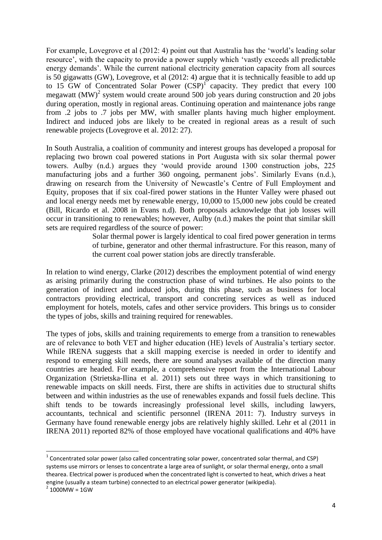For example, Lovegrove et al (2012: 4) point out that Australia has the 'world's leading solar resource', with the capacity to provide a power supply which 'vastly exceeds all predictable energy demands'. While the current national electricity generation capacity from all sources is 50 gigawatts (GW), Lovegrove, et al (2012: 4) argue that it is technically feasible to add up to 15 GW of Concentrated Solar Power  $(CSP)^{1}$  capacity. They predict that every 100 megawatt  $(MW)^2$  system would create around 500 job years during construction and 20 jobs during operation, mostly in regional areas. Continuing operation and maintenance jobs range from .2 jobs to .7 jobs per MW, with smaller plants having much higher employment. Indirect and induced jobs are likely to be created in regional areas as a result of such renewable projects (Lovegrove et al. 2012: 27).

In South Australia, a coalition of community and interest groups has developed a proposal for replacing two brown coal powered stations in Port Augusta with six solar thermal power towers. Aulby (n.d.) argues they 'would provide around 1300 construction jobs, 225 manufacturing jobs and a further 360 ongoing, permanent jobs'. Similarly Evans (n.d.), drawing on research from the University of Newcastle's Centre of Full Employment and Equity, proposes that if six coal-fired power stations in the Hunter Valley were phased out and local energy needs met by renewable energy, 10,000 to 15,000 new jobs could be created (Bill, Ricardo et al. 2008 in Evans n.d). Both proposals acknowledge that job losses will occur in transitioning to renewables; however, Aulby (n.d.) makes the point that similar skill sets are required regardless of the source of power:

> Solar thermal power is largely identical to coal fired power generation in terms of turbine, generator and other thermal infrastructure. For this reason, many of the current coal power station jobs are directly transferable.

In relation to wind energy, Clarke (2012) describes the employment potential of wind energy as arising primarily during the construction phase of wind turbines. He also points to the generation of indirect and induced jobs, during this phase, such as business for local contractors providing electrical, transport and concreting services as well as induced employment for hotels, motels, cafes and other service providers. This brings us to consider the types of jobs, skills and training required for renewables.

The types of jobs, skills and training requirements to emerge from a transition to renewables are of relevance to both VET and higher education (HE) levels of Australia's tertiary sector. While IRENA suggests that a skill mapping exercise is needed in order to identify and respond to emerging skill needs, there are sound analyses available of the direction many countries are headed. For example, a comprehensive report from the International Labour Organization (Strietska-Ilina et al. 2011) sets out three ways in which transitioning to renewable impacts on skill needs. First, there are shifts in activities due to structural shifts between and within industries as the use of renewables expands and fossil fuels decline. This shift tends to be towards increasingly professional level skills, including lawyers, accountants, technical and scientific personnel (IRENA 2011: 7). Industry surveys in Germany have found renewable energy jobs are relatively highly skilled. Lehr et al (2011 in IRENA 2011) reported 82% of those employed have vocational qualifications and 40% have

 $\overline{\phantom{a}}$ 

 $^{1}$  Concentrated solar power (also called concentrating solar power, concentrated solar thermal, and CSP) systems use mirrors or lenses to concentrate a large area of sunlight, or [solar thermal energy,](http://en.wikipedia.org/wiki/Solar_thermal_energy) onto a small thearea. Electrical power is produced when the concentrated light is converted to heat, which drives a [heat](http://en.wikipedia.org/wiki/Heat_engine)  [engine](http://en.wikipedia.org/wiki/Heat_engine) (usually a [steam turbine\)](http://en.wikipedia.org/wiki/Steam_turbine) connected to an electrical power generator (wikipedia).

 $2^{2}$  1000MW = 1GW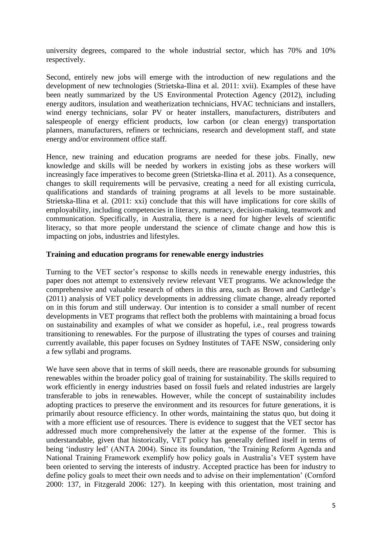university degrees, compared to the whole industrial sector, which has 70% and 10% respectively.

Second, entirely new jobs will emerge with the introduction of new regulations and the development of new technologies (Strietska-Ilina et al. 2011: xvii). Examples of these have been neatly summarized by the US Environmental Protection Agency (2012), including energy auditors, insulation and weatherization technicians, HVAC technicians and installers, wind energy technicians, solar PV or heater installers, manufacturers, distributers and salespeople of energy efficient products, low carbon (or clean energy) transportation planners, manufacturers, refiners or technicians, research and development staff, and state energy and/or environment office staff.

Hence, new training and education programs are needed for these jobs. Finally, new knowledge and skills will be needed by workers in existing jobs as these workers will increasingly face imperatives to become green (Strietska-Ilina et al. 2011). As a consequence, changes to skill requirements will be pervasive, creating a need for all existing curricula, qualifications and standards of training programs at all levels to be more sustainable. Strietska-Ilina et al. (2011: xxi) conclude that this will have implications for core skills of employability, including competencies in literacy, numeracy, decision-making, teamwork and communication. Specifically, in Australia, there is a need for higher levels of scientific literacy, so that more people understand the science of climate change and how this is impacting on jobs, industries and lifestyles.

## **Training and education programs for renewable energy industries**

Turning to the VET sector's response to skills needs in renewable energy industries, this paper does not attempt to extensively review relevant VET programs. We acknowledge the comprehensive and valuable research of others in this area, such as Brown and Cartledge's (2011) analysis of VET policy developments in addressing climate change, already reported on in this forum and still underway. Our intention is to consider a small number of recent developments in VET programs that reflect both the problems with maintaining a broad focus on sustainability and examples of what we consider as hopeful, i.e., real progress towards transitioning to renewables. For the purpose of illustrating the types of courses and training currently available, this paper focuses on Sydney Institutes of TAFE NSW, considering only a few syllabi and programs.

We have seen above that in terms of skill needs, there are reasonable grounds for subsuming renewables within the broader policy goal of training for sustainability. The skills required to work efficiently in energy industries based on fossil fuels and related industries are largely transferable to jobs in renewables. However, while the concept of sustainability includes adopting practices to preserve the environment and its resources for future generations, it is primarily about resource efficiency. In other words, maintaining the status quo, but doing it with a more efficient use of resources. There is evidence to suggest that the VET sector has addressed much more comprehensively the latter at the expense of the former. This is understandable, given that historically, VET policy has generally defined itself in terms of being 'industry led' (ANTA 2004). Since its foundation, 'the Training Reform Agenda and National Training Framework exemplify how policy goals in Australia's VET system have been oriented to serving the interests of industry. Accepted practice has been for industry to define policy goals to meet their own needs and to advise on their implementation' (Cornford 2000: 137, in Fitzgerald 2006: 127). In keeping with this orientation, most training and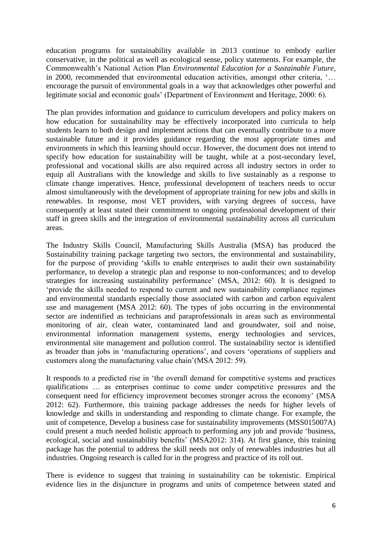education programs for sustainability available in 2013 continue to embody earlier conservative, in the political as well as ecological sense, policy statements. For example, the Commonwealth's National Action Plan *Environmental Education for a Sustainable Future,* in 2000, recommended that environmental education activities, amongst other criteria, '… encourage the pursuit of environmental goals in a way that acknowledges other powerful and legitimate social and economic goals' (Department of Environment and Heritage, 2000: 6).

The plan provides information and guidance to curriculum developers and policy makers on how education for sustainability may be effectively incorporated into curricula to help students learn to both design and implement actions that can eventually contribute to a more sustainable future and it provides guidance regarding the most appropriate times and environments in which this learning should occur. However, the document does not intend to specify how education for sustainability will be taught, while at a post-secondary level, professional and vocational skills are also required across all industry sectors in order to equip all Australians with the knowledge and skills to live sustainably as a response to climate change imperatives. Hence, professional development of teachers needs to occur almost simultaneously with the development of appropriate training for new jobs and skills in renewables. In response, most VET providers, with varying degrees of success, have consequently at least stated their commitment to ongoing professional development of their staff in green skills and the integration of environmental sustainability across all curriculum areas.

The Industry Skills Council, Manufacturing Skills Australia (MSA) has produced the Sustainability training package targeting two sectors, the environmental and sustainability, for the purpose of providing 'skills to enable enterprises to audit their own sustainability performance, to develop a strategic plan and response to non-conformances; and to develop strategies for increasing sustainability performance' (MSA, 2012: 60). It is designed to 'provide the skills needed to respond to current and new sustainability compliance regimes and environmental standards especially those associated with carbon and carbon equivalent use and management (MSA 2012: 60). The types of jobs occurring in the environmental sector are indentified as technicians and paraprofessionals in areas such as environmental monitoring of air, clean water, contaminated land and groundwater, soil and noise, environmental information management systems, energy technologies and services, environmental site management and pollution control. The sustainability sector is identified as broader than jobs in 'manufacturing operations', and covers 'operations of suppliers and customers along the manufacturing value chain'(MSA 2012: 59).

It responds to a predicted rise in 'the overall demand for competitive systems and practices qualifications … as enterprises continue to come under competitive pressures and the consequent need for efficiency improvement becomes stronger across the economy' (MSA 2012: 62). Furthermore, this training package addresses the needs for higher levels of knowledge and skills in understanding and responding to climate change. For example, the unit of competence, Develop a business case for sustainability improvements (MSS015007A) could present a much needed holistic approach to performing any job and provide 'business, ecological, social and sustainability benefits' (MSA2012: 314). At first glance, this training package has the potential to address the skill needs not only of renewables industries but all industries. Ongoing research is called for in the progress and practice of its roll out.

There is evidence to suggest that training in sustainability can be tokenistic. Empirical evidence lies in the disjuncture in programs and units of competence between stated and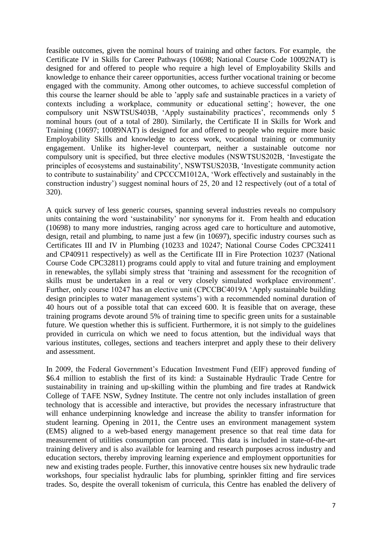feasible outcomes, given the nominal hours of training and other factors. For example, the Certificate IV in Skills for Career Pathways (10698; National Course Code 10092NAT) is designed for and offered to people who require a high level of Employability Skills and knowledge to enhance their career opportunities, access further vocational training or become engaged with the community. Among other outcomes, to achieve successful completion of this course the learner should be able to 'apply safe and sustainable practices in a variety of contexts including a workplace, community or educational setting'; however, the one compulsory unit NSWTSUS403B, 'Apply sustainability practices', recommends only 5 nominal hours (out of a total of 280). Similarly, the Certificate II in Skills for Work and Training (10697; 10089NAT) is designed for and offered to people who require more basic Employability Skills and knowledge to access work, vocational training or community engagement. Unlike its higher-level counterpart, neither a sustainable outcome nor compulsory unit is specified, but three elective modules (NSWTSUS202B, 'Investigate the principles of ecosystems and sustainability', NSWTSUS203B, 'Investigate community action to contribute to sustainability' and CPCCCM1012A, 'Work effectively and sustainably in the construction industry') suggest nominal hours of 25, 20 and 12 respectively (out of a total of 320).

A quick survey of less generic courses, spanning several industries reveals no compulsory units containing the word 'sustainability' nor synonyms for it. From health and education (10698) to many more industries, ranging across aged care to horticulture and automotive, design, retail and plumbing, to name just a few (in 10697), specific industry courses such as Certificates III and IV in Plumbing (10233 and 10247; National Course Codes CPC32411 and CP40911 respectively) as well as the Certificate III in Fire Protection 10237 (National Course Code CPC32811) programs could apply to vital and future training and employment in renewables, the syllabi simply stress that 'training and assessment for the recognition of skills must be undertaken in a real or very closely simulated workplace environment'. Further, only course 10247 has an elective unit (CPCCBC4019A 'Apply sustainable building design principles to water management systems') with a recommended nominal duration of 40 hours out of a possible total that can exceed 600. It is feasible that on average, these training programs devote around 5% of training time to specific green units for a sustainable future. We question whether this is sufficient. Furthermore, it is not simply to the guidelines provided in curricula on which we need to focus attention, but the individual ways that various institutes, colleges, sections and teachers interpret and apply these to their delivery and assessment.

In 2009, the Federal Government's Education Investment Fund (EIF) approved funding of \$6.4 million to establish the first of its kind: a Sustainable Hydraulic Trade Centre for sustainability in training and up-skilling within the plumbing and fire trades at Randwick College of TAFE NSW, Sydney Institute. The centre not only includes installation of green technology that is accessible and interactive, but provides the necessary infrastructure that will enhance underpinning knowledge and increase the ability to transfer information for student learning. Opening in 2011, the Centre uses an environment management system (EMS) aligned to a web-based energy management presence so that real time data for measurement of utilities consumption can proceed. This data is included in state-of-the-art training delivery and is also available for learning and research purposes across industry and education sectors, thereby improving learning experience and employment opportunities for new and existing trades people. Further, this innovative centre houses six new hydraulic trade workshops, four specialist hydraulic labs for plumbing, sprinkler fitting and fire services trades. So, despite the overall tokenism of curricula, this Centre has enabled the delivery of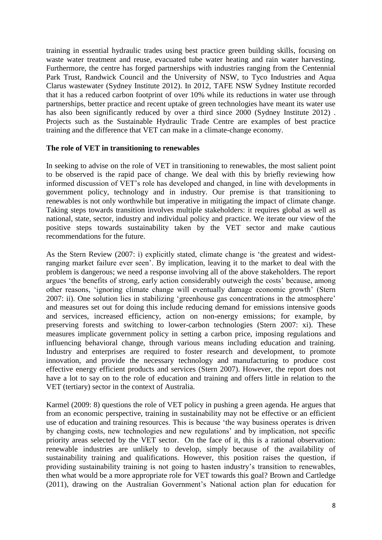training in essential hydraulic trades using best practice green building skills, focusing on waste water treatment and reuse, evacuated tube water heating and rain water harvesting. Furthermore, the centre has forged partnerships with industries ranging from the Centennial Park Trust, Randwick Council and the University of NSW, to Tyco Industries and Aqua Clarus wastewater (Sydney Institute 2012). In 2012, TAFE NSW Sydney Institute recorded that it has a reduced carbon footprint of over 10% while its reductions in water use through partnerships, better practice and recent uptake of green technologies have meant its water use has also been significantly reduced by over a third since 2000 (Sydney Institute 2012). Projects such as the Sustainable Hydraulic Trade Centre are examples of best practice training and the difference that VET can make in a climate-change economy.

## **The role of VET in transitioning to renewables**

In seeking to advise on the role of VET in transitioning to renewables, the most salient point to be observed is the rapid pace of change. We deal with this by briefly reviewing how informed discussion of VET's role has developed and changed, in line with developments in government policy, technology and in industry. Our premise is that transitioning to renewables is not only worthwhile but imperative in mitigating the impact of climate change. Taking steps towards transition involves multiple stakeholders: it requires global as well as national, state, sector, industry and individual policy and practice. We iterate our view of the positive steps towards sustainability taken by the VET sector and make cautious recommendations for the future.

As the Stern Review (2007: i) explicitly stated, climate change is 'the greatest and widestranging market failure ever seen'. By implication, leaving it to the market to deal with the problem is dangerous; we need a response involving all of the above stakeholders. The report argues 'the benefits of strong, early action considerably outweigh the costs' because, among other reasons, 'ignoring climate change will eventually damage economic growth' (Stern 2007: ii). One solution lies in stabilizing 'greenhouse gas concentrations in the atmosphere' and measures set out for doing this include reducing demand for emissions intensive goods and services, increased efficiency, action on non-energy emissions; for example, by preserving forests and switching to lower-carbon technologies (Stern 2007: xi). These measures implicate government policy in setting a carbon price, imposing regulations and influencing behavioral change, through various means including education and training. Industry and enterprises are required to foster research and development, to promote innovation, and provide the necessary technology and manufacturing to produce cost effective energy efficient products and services (Stern 2007). However, the report does not have a lot to say on to the role of education and training and offers little in relation to the VET (tertiary) sector in the context of Australia.

Karmel (2009: 8) questions the role of VET policy in pushing a green agenda. He argues that from an economic perspective, training in sustainability may not be effective or an efficient use of education and training resources. This is because 'the way business operates is driven by changing costs, new technologies and new regulations' and by implication, not specific priority areas selected by the VET sector. On the face of it, this is a rational observation: renewable industries are unlikely to develop, simply because of the availability of sustainability training and qualifications. However, this position raises the question, if providing sustainability training is not going to hasten industry's transition to renewables, then what would be a more appropriate role for VET towards this goal? Brown and Cartledge (2011), drawing on the Australian Government's National action plan for education for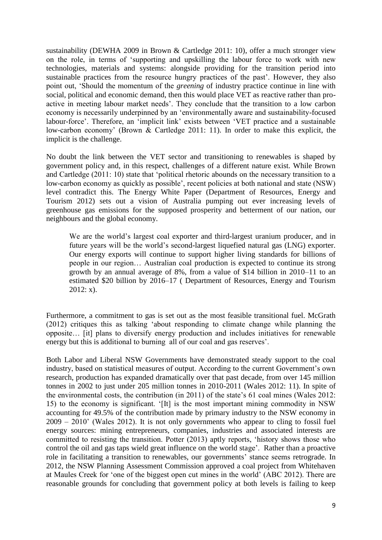sustainability (DEWHA 2009 in Brown & Cartledge 2011: 10), offer a much stronger view on the role, in terms of 'supporting and upskilling the labour force to work with new technologies, materials and systems: alongside providing for the transition period into sustainable practices from the resource hungry practices of the past'. However, they also point out, 'Should the momentum of the *greening* of industry practice continue in line with social, political and economic demand, then this would place VET as reactive rather than proactive in meeting labour market needs'. They conclude that the transition to a low carbon economy is necessarily underpinned by an 'environmentally aware and sustainability-focused labour-force'. Therefore, an 'implicit link' exists between 'VET practice and a sustainable low-carbon economy' (Brown & Cartledge 2011: 11). In order to make this explicit, the implicit is the challenge.

No doubt the link between the VET sector and transitioning to renewables is shaped by government policy and, in this respect, challenges of a different nature exist. While Brown and Cartledge (2011: 10) state that 'political rhetoric abounds on the necessary transition to a low-carbon economy as quickly as possible', recent policies at both national and state (NSW) level contradict this. The Energy White Paper (Department of Resources, Energy and Tourism 2012) sets out a vision of Australia pumping out ever increasing levels of greenhouse gas emissions for the supposed prosperity and betterment of our nation, our neighbours and the global economy.

We are the world's largest coal exporter and third-largest uranium producer, and in future years will be the world's second-largest liquefied natural gas (LNG) exporter. Our energy exports will continue to support higher living standards for billions of people in our region… Australian coal production is expected to continue its strong growth by an annual average of 8%, from a value of \$14 billion in 2010–11 to an estimated \$20 billion by 2016–17 ( Department of Resources, Energy and Tourism  $2012: x$ ).

Furthermore, a commitment to gas is set out as the most feasible transitional fuel. McGrath (2012) critiques this as talking 'about responding to climate change while planning the opposite… [it] plans to diversify energy production and includes initiatives for renewable energy but this is additional to burning all of our coal and gas reserves'.

Both Labor and Liberal NSW Governments have demonstrated steady support to the coal industry, based on statistical measures of output. According to the current Government's own research, production has expanded dramatically over that past decade, from over 145 million tonnes in 2002 to just under 205 million tonnes in 2010-2011 (Wales 2012: 11). In spite of the environmental costs, the contribution (in 2011) of the state's 61 coal mines (Wales 2012: 15) to the economy is significant. '[It] is the most important mining commodity in NSW accounting for 49.5% of the contribution made by primary industry to the NSW economy in 2009 – 2010' (Wales 2012). It is not only governments who appear to cling to fossil fuel energy sources: mining entrepreneurs, companies, industries and associated interests are committed to resisting the transition. Potter (2013) aptly reports, 'history shows those who control the oil and gas taps wield great influence on the world stage'. Rather than a proactive role in facilitating a transition to renewables, our governments' stance seems retrograde. In 2012, the NSW Planning Assessment Commission approved a coal project from Whitehaven at Maules Creek for 'one of the biggest open cut mines in the world' (ABC 2012). There are reasonable grounds for concluding that government policy at both levels is failing to keep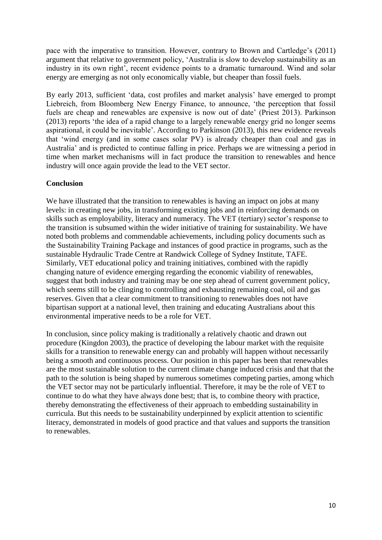pace with the imperative to transition. However, contrary to Brown and Cartledge's (2011) argument that relative to government policy, 'Australia is slow to develop sustainability as an industry in its own right', recent evidence points to a dramatic turnaround. Wind and solar energy are emerging as not only economically viable, but cheaper than fossil fuels.

By early 2013, sufficient 'data, cost profiles and market analysis' have emerged to prompt Liebreich, from Bloomberg New Energy Finance, to announce, 'the perception that fossil fuels are cheap and renewables are expensive is now out of date' (Priest 2013). Parkinson (2013) reports 'the idea of a rapid change to a largely renewable energy grid no longer seems aspirational, it could be inevitable'. According to Parkinson (2013), this new evidence reveals that 'wind energy (and in some cases solar PV) is already cheaper than coal and gas in Australia' and is predicted to continue falling in price. Perhaps we are witnessing a period in time when market mechanisms will in fact produce the transition to renewables and hence industry will once again provide the lead to the VET sector.

## **Conclusion**

We have illustrated that the transition to renewables is having an impact on jobs at many levels: in creating new jobs, in transforming existing jobs and in reinforcing demands on skills such as employability, literacy and numeracy. The VET (tertiary) sector's response to the transition is subsumed within the wider initiative of training for sustainability. We have noted both problems and commendable achievements, including policy documents such as the Sustainability Training Package and instances of good practice in programs, such as the sustainable Hydraulic Trade Centre at Randwick College of Sydney Institute, TAFE. Similarly, VET educational policy and training initiatives, combined with the rapidly changing nature of evidence emerging regarding the economic viability of renewables, suggest that both industry and training may be one step ahead of current government policy, which seems still to be clinging to controlling and exhausting remaining coal, oil and gas reserves. Given that a clear commitment to transitioning to renewables does not have bipartisan support at a national level, then training and educating Australians about this environmental imperative needs to be a role for VET.

In conclusion, since policy making is traditionally a relatively chaotic and drawn out procedure (Kingdon 2003), the practice of developing the labour market with the requisite skills for a transition to renewable energy can and probably will happen without necessarily being a smooth and continuous process. Our position in this paper has been that renewables are the most sustainable solution to the current climate change induced crisis and that that the path to the solution is being shaped by numerous sometimes competing parties, among which the VET sector may not be particularly influential. Therefore, it may be the role of VET to continue to do what they have always done best; that is, to combine theory with practice, thereby demonstrating the effectiveness of their approach to embedding sustainability in curricula. But this needs to be sustainability underpinned by explicit attention to scientific literacy, demonstrated in models of good practice and that values and supports the transition to renewables.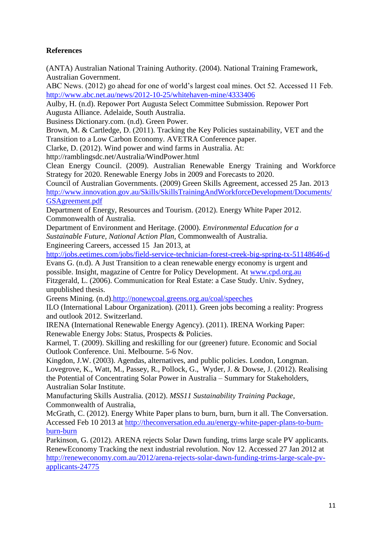# **References**

(ANTA) Australian National Training Authority. (2004). National Training Framework, Australian Government.

ABC News. (2012) go ahead for one of world's largest coal mines. Oct 52. Accessed 11 Feb. <http://www.abc.net.au/news/2012-10-25/whitehaven-mine/4333406>

Aulby, H. (n.d). Repower Port Augusta Select Committee Submission. Repower Port Augusta Alliance. Adelaide, South Australia.

Business Dictionary.com. (n.d). Green Power.

Brown, M. & Cartledge, D. (2011). Tracking the Key Policies sustainability, VET and the Transition to a Low Carbon Economy. AVETRA Conference paper.

Clarke, D. (2012). Wind power and wind farms in Australia. At:

http://ramblingsdc.net/Australia/WindPower.html

Clean Energy Council. (2009). Australian Renewable Energy Training and Workforce Strategy for 2020. Renewable Energy Jobs in 2009 and Forecasts to 2020.

Council of Australian Governments. (2009) Green Skills Agreement, accessed 25 Jan. 2013 [http://www.innovation.gov.au/Skills/SkillsTrainingAndWorkforceDevelopment/Documents/](http://www.innovation.gov.au/Skills/SkillsTrainingAndWorkforceDevelopment/Documents/GSAgreement.pdf) [GSAgreement.pdf](http://www.innovation.gov.au/Skills/SkillsTrainingAndWorkforceDevelopment/Documents/GSAgreement.pdf)

Department of Energy, Resources and Tourism. (2012). Energy White Paper 2012. Commonwealth of Australia.

Department of Environment and Heritage. (2000). *Environmental Education for a Sustainable Future, National Action Plan,* Commonwealth of Australia. Engineering Careers, accessed 15 Jan 2013, at

<http://jobs.eetimes.com/jobs/field-service-technician-forest-creek-big-spring-tx-51148646-d>

Evans G. (n.d). A Just Transition to a clean renewable energy economy is urgent and possible. Insight, magazine of Centre for Policy Development. At [www.cpd.org.au](http://www.cpd.org.au/) Fitzgerald, L. (2006). Communication for Real Estate: a Case Study. Univ. Sydney, unpublished thesis.

Greens Mining. (n.d)[.http://nonewcoal.greens.org.au/coal/speeches](http://nonewcoal.greens.org.au/coal/speeches)

ILO (International Labour Organization). (2011). Green jobs becoming a reality: Progress and outlook 2012. Switzerland.

IRENA (International Renewable Energy Agency). (2011). IRENA Working Paper: Renewable Energy Jobs: Status, Prospects & Policies.

Karmel, T. (2009). Skilling and reskilling for our (greener) future. Economic and Social Outlook Conference. Uni. Melbourne. 5-6 Nov.

Kingdon, J.W. (2003). Agendas, alternatives, and public policies. London, Longman. Lovegrove, K., Watt, M., Passey, R., Pollock, G., Wyder, J. & Dowse, J. (2012). Realising the Potential of Concentrating Solar Power in Australia – Summary for Stakeholders, Australian Solar Institute.

Manufacturing Skills Australia. (2012). *MSS11 Sustainability Training Package*, Commonwealth of Australia,

McGrath, C. (2012). Energy White Paper plans to burn, burn, burn it all. The Conversation. Accessed Feb 10 2013 at [http://theconversation.edu.au/energy-white-paper-plans-to-burn](http://theconversation.edu.au/energy-white-paper-plans-to-burn-burn-burn)[burn-burn](http://theconversation.edu.au/energy-white-paper-plans-to-burn-burn-burn)

Parkinson, G. (2012). ARENA rejects Solar Dawn funding, trims large scale PV applicants. RenewEconomy Tracking the next industrial revolution. Nov 12. Accessed 27 Jan 2012 at [http://reneweconomy.com.au/2012/arena-rejects-solar-dawn-funding-trims-large-scale-pv](http://reneweconomy.com.au/2012/arena-rejects-solar-dawn-funding-trims-large-scale-pv-applicants-24775)[applicants-24775](http://reneweconomy.com.au/2012/arena-rejects-solar-dawn-funding-trims-large-scale-pv-applicants-24775)